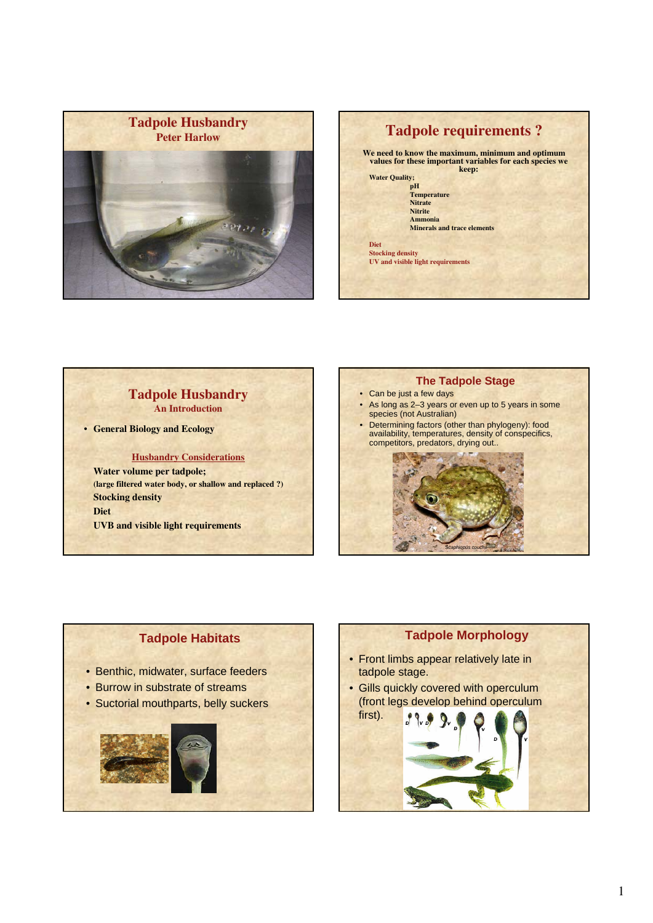



## **Tadpole Husbandry An Introduction**

• **General Biology and Ecology**

**Husbandry Considerations**

**Water volume per tadpole; (large filtered water body, or shallow and replaced ?) Stocking density Diet UVB and visible light requirements**

# **The Tadpole Stage** • Can be just a few days

- As long as 2–3 years or even up to 5 years in some species (not Australian)
- Determining factors (other than phylogeny): food availability, temperatures, density of conspecifics, competitors, predators, drying out..

*Scaphiopus couchii*

# **Tadpole Habitats**

- Benthic, midwater, surface feeders
- Burrow in substrate of streams
- Suctorial mouthparts, belly suckers



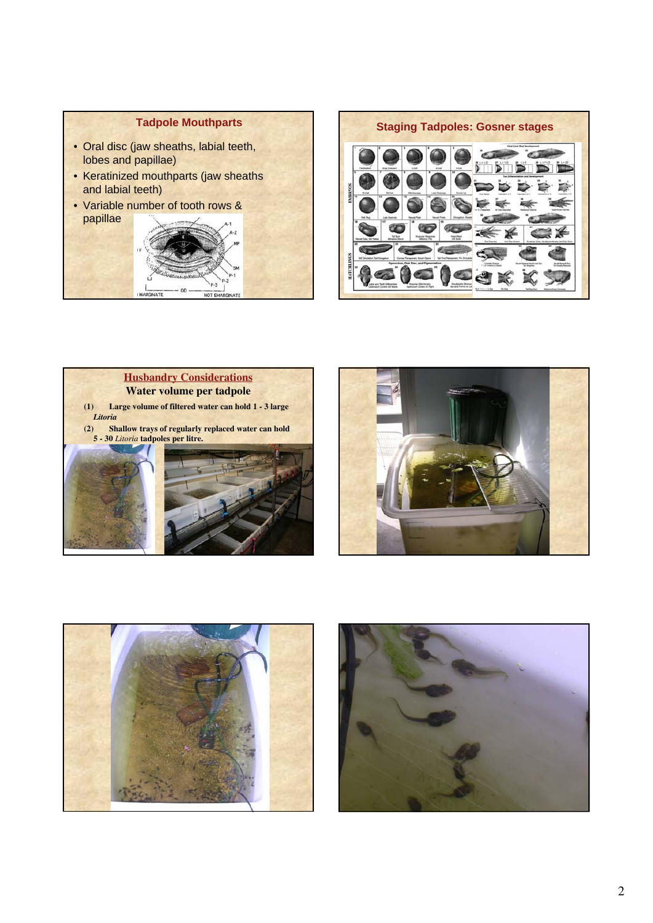









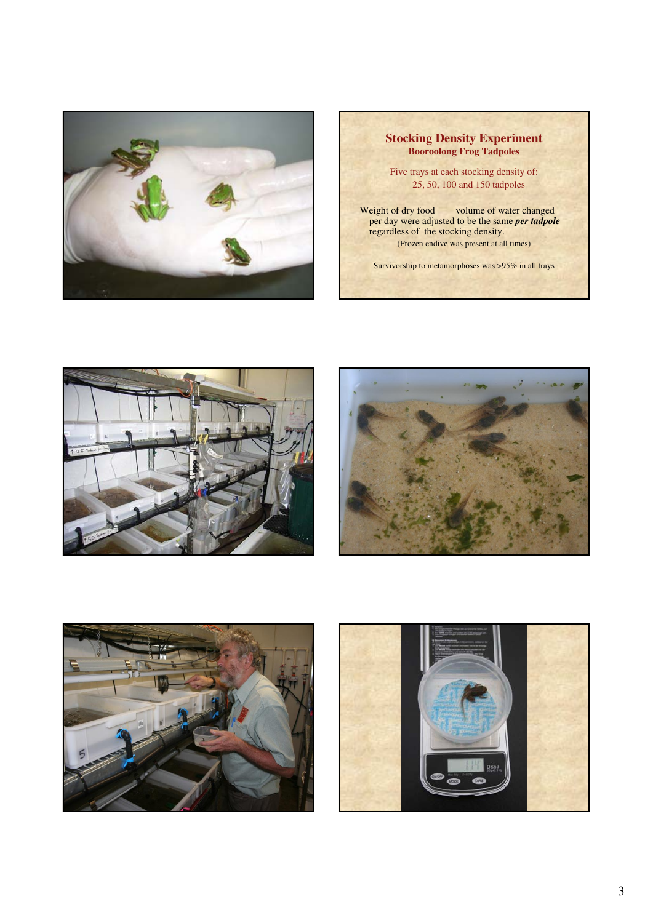

### **Stocking Density Experiment Booroolong Frog Tadpoles**

Five trays at each stocking density of: 25, 50, 100 and 150 tadpoles

Weight of dry food volume of water changed per day were adjusted to be the same *per tadpole* regardless of the stocking density. (Frozen endive was present at all times)

Survivorship to metamorphoses was >95% in all trays







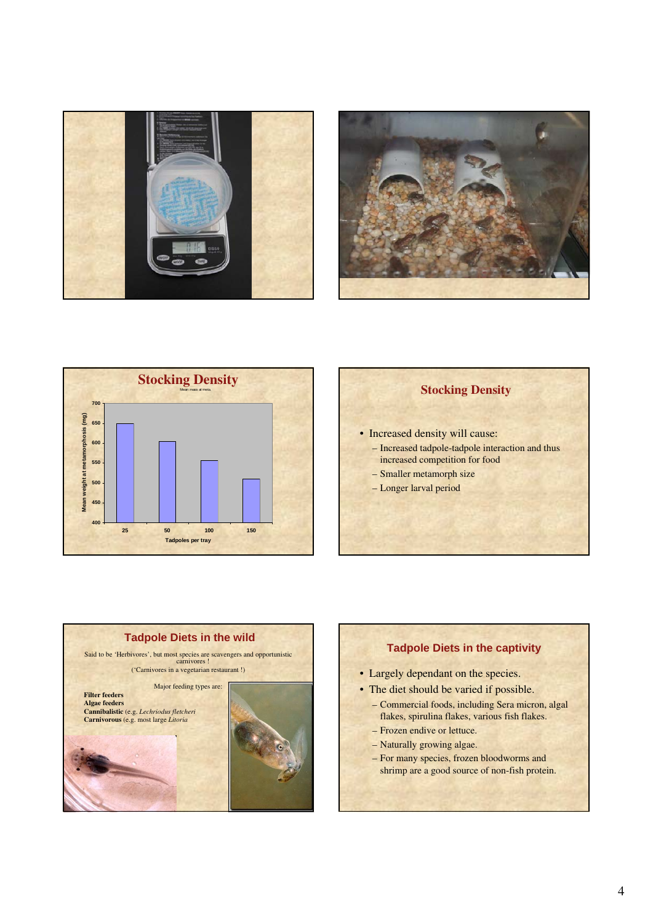





## **Stocking Density**

- Increased density will cause:
	- Increased tadpole-tadpole interaction and thus increased competition for food
	- Smaller metamorph size
	- Longer larval period



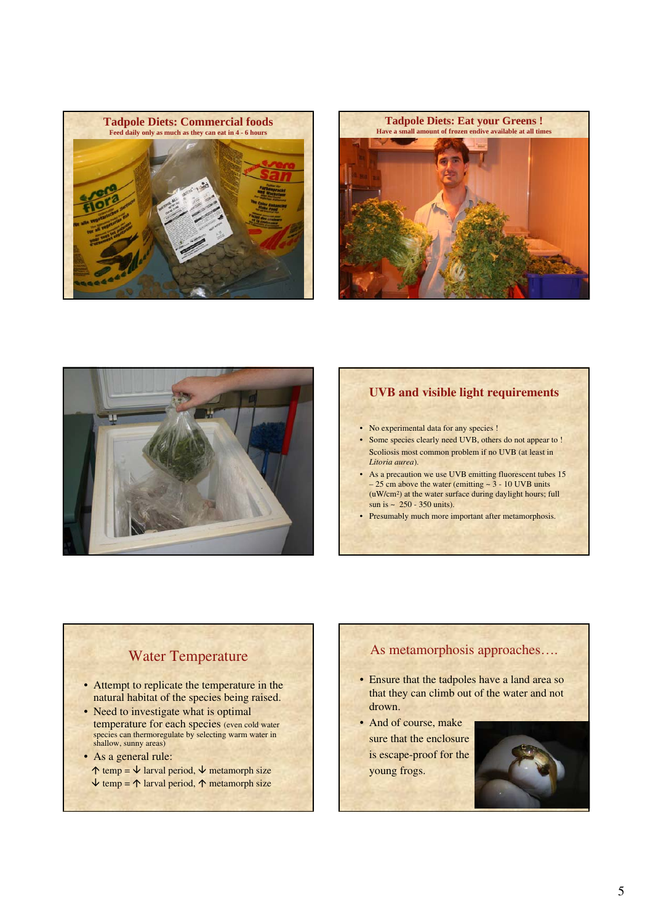





## **UVB and visible light requirements**

- No experimental data for any species !
- Some species clearly need UVB, others do not appear to ! Scoliosis most common problem if no UVB (at least in *Litoria aurea*).
- As a precaution we use UVB emitting fluorescent tubes 15  $-25$  cm above the water (emitting  $\sim$  3 - 10 UVB units (uW/cm2) at the water surface during daylight hours; full sun is  $\sim 250 - 350$  units).
- Presumably much more important after metamorphosis.

# Water Temperature

- Attempt to replicate the temperature in the natural habitat of the species being raised.
- Need to investigate what is optimal temperature for each species (even cold water species can thermoregulate by selecting warm water in shallow, sunny areas)
- As a general rule:
	- $\uparrow$  temp =  $\downarrow$  larval period,  $\downarrow$  metamorph size  $\downarrow$  temp =  $\uparrow$  larval period,  $\uparrow$  metamorph size

# As metamorphosis approaches….

- Ensure that the tadpoles have a land area so that they can climb out of the water and not drown.
- And of course, make sure that the enclosure is escape-proof for the young frogs.

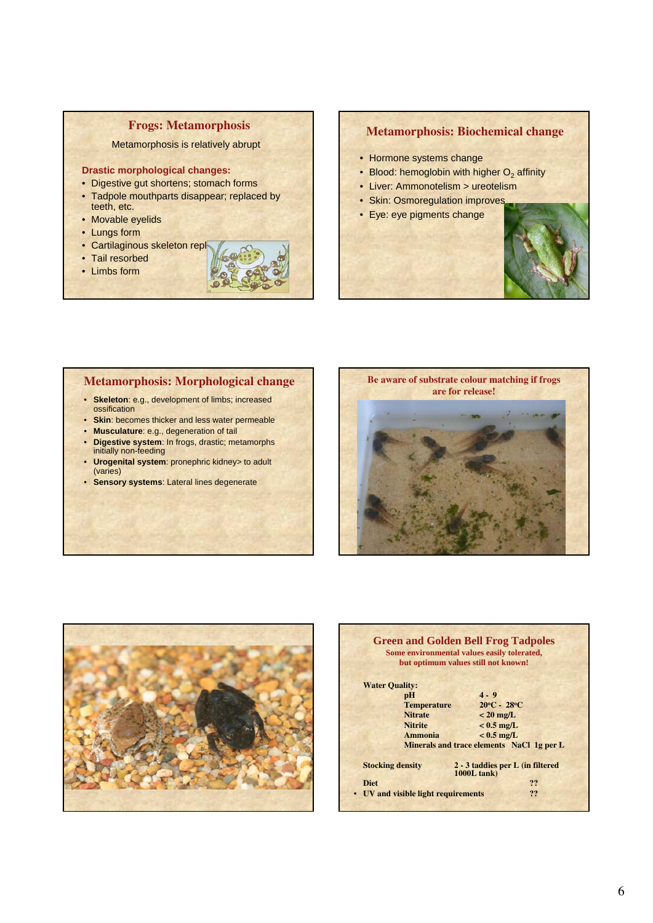### **Frogs: Metamorphosis**

#### Metamorphosis is relatively abrupt

#### **Drastic morphological changes:**

- Digestive gut shortens; stomach forms
- Tadpole mouthparts disappear; replaced by teeth, etc.
- Movable eyelids
- Lungs form
- Cartilaginous skeleton repl
- Tail resorbed
- Limbs form



#### **Metamorphosis: Biochemical change**

- Hormone systems change
- Blood: hemoglobin with higher  $O<sub>2</sub>$  affinity
- Liver: Ammonotelism > ureotelism
- Skin: Osmoregulation improves
- Eye: eye pigments change



### **Metamorphosis: Morphological change**

- **Skeleton**: e.g., development of limbs; increased ossification
- **Skin**: becomes thicker and less water permeable
- **Musculature**: e.g., degeneration of tail
- **Digestive system**: In frogs, drastic; metamorphs initially non-feeding
- **Urogenital system**: pronephric kidney> to adult (varies)
- **Sensory systems**: Lateral lines degenerate